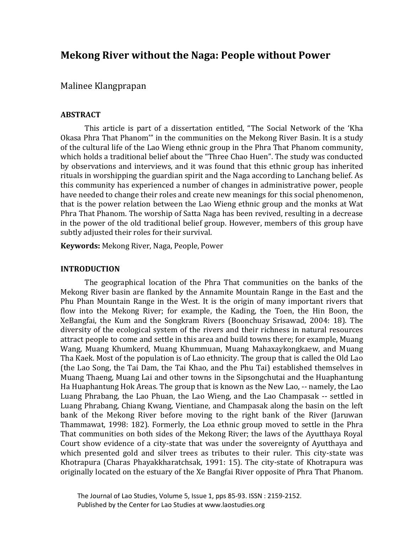# **Mekong River without the Naga: People without Power**

Malinee Klangprapan

## **ABSTRACT**

This article is part of a dissertation entitled, "The Social Network of the 'Kha Okasa Phra That Phanom'" in the communities on the Mekong River Basin*.* It is a study of the cultural life of the Lao Wieng ethnic group in the Phra That Phanom community, which holds a traditional belief about the "Three Chao Huen". The study was conducted by observations and interviews, and it was found that this ethnic group has inherited rituals in worshipping the guardian spirit and the Naga according to Lanchang belief. As this community has experienced a number of changes in administrative power, people have needed to change their roles and create new meanings for this social phenomenon, that is the power relation between the Lao Wieng ethnic group and the monks at Wat Phra That Phanom. The worship of Satta Naga has been revived, resulting in a decrease in the power of the old traditional belief group. However, members of this group have subtly adjusted their roles for their survival.

**Keywords:** Mekong River, Naga, People, Power

## **INTRODUCTION**

The geographical location of the Phra That communities on the banks of the Mekong River basin are flanked by the Annamite Mountain Range in the East and the Phu Phan Mountain Range in the West. It is the origin of many important rivers that flow into the Mekong River; for example, the Kading, the Toen, the Hin Boon, the XeBangfai, the Kum and the Songkram Rivers (Boonchuay Srisawad, 2004: 18). The diversity of the ecological system of the rivers and their richness in natural resources attract people to come and settle in this area and build towns there; for example, Muang Wang, Muang Khumkerd, Muang Khummuan, Muang Mahaxaykongkaew, and Muang Tha Kaek. Most of the population is of Lao ethnicity. The group that is called the Old Lao (the Lao Song, the Tai Dam, the Tai Khao, and the Phu Tai) established themselves in Muang Thaeng, Muang Lai and other towns in the Sipsongchutai and the Huaphantung Ha Huaphantung Hok Areas. The group that is known as the New Lao, -- namely, the Lao Luang Phrabang, the Lao Phuan, the Lao Wieng, and the Lao Champasak -- settled in Luang Phrabang, Chiang Kwang, Vientiane, and Champasak along the basin on the left bank of the Mekong River before moving to the right bank of the River (Jaruwan Thammawat, 1998: 182). Formerly, the Loa ethnic group moved to settle in the Phra That communities on both sides of the Mekong River; the laws of the Ayutthaya Royal Court show evidence of a city-state that was under the sovereignty of Ayutthaya and which presented gold and silver trees as tributes to their ruler. This city-state was Khotrapura (Charas Phayakkharatchsak, 1991: 15). The city-state of Khotrapura was originally located on the estuary of the Xe Bangfai River opposite of Phra That Phanom.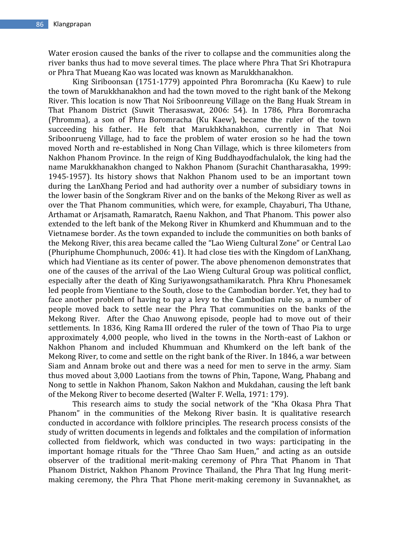Water erosion caused the banks of the river to collapse and the communities along the river banks thus had to move several times. The place where Phra That Sri Khotrapura or Phra That Mueang Kao was located was known as Marukkhanakhon.

King Siriboonsan (1751-1779) appointed Phra Boromracha (Ku Kaew) to rule the town of Marukkhanakhon and had the town moved to the right bank of the Mekong River. This location is now That Noi Sriboonreung Village on the Bang Huak Stream in That Phanom District (Suwit Therasaswat, 2006: 54). In 1786, Phra Boromracha (Phromma), a son of Phra Boromracha (Ku Kaew), became the ruler of the town succeeding his father. He felt that Marukhkhanakhon, currently in That Noi Sriboonrueng Village, had to face the problem of water erosion so he had the town moved North and re-established in Nong Chan Village, which is three kilometers from Nakhon Phanom Province. In the reign of King Buddhayodfachulalok, the king had the name Marukkhanakhon changed to Nakhon Phanom (Surachit Chantharasakha, 1999: 1945-1957). Its history shows that Nakhon Phanom used to be an important town during the LanXhang Period and had authority over a number of subsidiary towns in the lower basin of the Songkram River and on the banks of the Mekong River as well as over the That Phanom communities, which were, for example, Chayaburi, Tha Uthane, Arthamat or Arjsamath, Ramaratch, Raenu Nakhon, and That Phanom. This power also extended to the left bank of the Mekong River in Khumkerd and Khummuan and to the Vietnamese border. As the town expanded to include the communities on both banks of the Mekong River, this area became called the "Lao Wieng Cultural Zone" or Central Lao (Phuriphume Chomphunuch, 2006: 41). It had close ties with the Kingdom of LanXhang, which had Vientiane as its center of power. The above phenomenon demonstrates that one of the causes of the arrival of the Lao Wieng Cultural Group was political conflict, especially after the death of King Suriyawongsathamikaratch. Phra Khru Phonesamek led people from Vientiane to the South, close to the Cambodian border. Yet, they had to face another problem of having to pay a levy to the Cambodian rule so, a number of people moved back to settle near the Phra That communities on the banks of the Mekong River. After the Chao Anuwong episode, people had to move out of their settlements. In 1836, King Rama III ordered the ruler of the town of Thao Pia to urge approximately 4,000 people, who lived in the towns in the North-east of Lakhon or Nakhon Phanom and included Khummuan and Khumkerd on the left bank of the Mekong River, to come and settle on the right bank of the River. In 1846, a war between Siam and Annam broke out and there was a need for men to serve in the army. Siam thus moved about 3,000 Laotians from the towns of Phin, Tapone, Wang, Phabang and Nong to settle in Nakhon Phanom, Sakon Nakhon and Mukdahan, causing the left bank of the Mekong River to become deserted (Walter F. Wella, 1971: 179).

This research aims to study the social network of the "Kha Okasa Phra That Phanom" in the communities of the Mekong River basin. It is qualitative research conducted in accordance with folklore principles. The research process consists of the study of written documents in legends and folktales and the compilation of information collected from fieldwork, which was conducted in two ways: participating in the important homage rituals for the "Three Chao Sam Huen," and acting as an outside observer of the traditional merit-making ceremony of Phra That Phanom in That Phanom District, Nakhon Phanom Province Thailand, the Phra That Ing Hung meritmaking ceremony, the Phra That Phone merit-making ceremony in Suvannakhet, as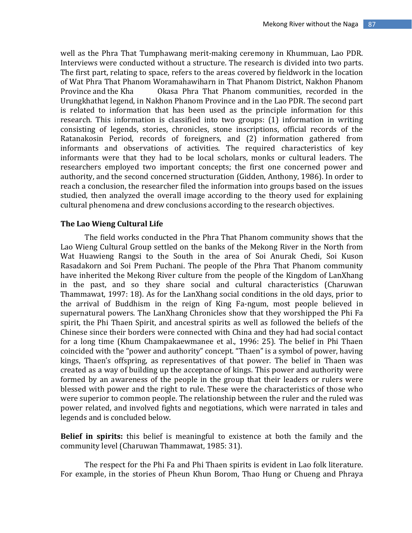well as the Phra That Tumphawang merit-making ceremony in Khummuan, Lao PDR. Interviews were conducted without a structure. The research is divided into two parts. The first part, relating to space, refers to the areas covered by fieldwork in the location of Wat Phra That Phanom Woramahawiharn in That Phanom District, Nakhon Phanom Province and the Kha Okasa Phra That Phanom communities, recorded in the Urungkhathat legend, in Nakhon Phanom Province and in the Lao PDR. The second part is related to information that has been used as the principle information for this research. This information is classified into two groups: (1) information in writing consisting of legends, stories, chronicles, stone inscriptions, official records of the Ratanakosin Period, records of foreigners, and (2) information gathered from informants and observations of activities. The required characteristics of key informants were that they had to be local scholars, monks or cultural leaders. The researchers employed two important concepts; the first one concerned power and authority, and the second concerned structuration (Gidden, Anthony, 1986). In order to reach a conclusion, the researcher filed the information into groups based on the issues studied, then analyzed the overall image according to the theory used for explaining cultural phenomena and drew conclusions according to the research objectives.

#### **The Lao Wieng Cultural Life**

The field works conducted in the Phra That Phanom community shows that the Lao Wieng Cultural Group settled on the banks of the Mekong River in the North from Wat Huawieng Rangsi to the South in the area of Soi Anurak Chedi, Soi Kuson Rasadakorn and Soi Prem Puchani. The people of the Phra That Phanom community have inherited the Mekong River culture from the people of the Kingdom of LanXhang in the past, and so they share social and cultural characteristics (Charuwan Thammawat, 1997: 18). As for the LanXhang social conditions in the old days, prior to the arrival of Buddhism in the reign of King Fa-ngum, most people believed in supernatural powers. The LanXhang Chronicles show that they worshipped the Phi Fa spirit, the Phi Thaen Spirit, and ancestral spirits as well as followed the beliefs of the Chinese since their borders were connected with China and they had had social contact for a long time (Khum Champakaewmanee et al., 1996: 25). The belief in Phi Thaen coincided with the "power and authority" concept. "Thaen" is a symbol of power, having kings, Thaen's offspring, as representatives of that power. The belief in Thaen was created as a way of building up the acceptance of kings. This power and authority were formed by an awareness of the people in the group that their leaders or rulers were blessed with power and the right to rule. These were the characteristics of those who were superior to common people. The relationship between the ruler and the ruled was power related, and involved fights and negotiations, which were narrated in tales and legends and is concluded below.

**Belief in spirits:** this belief is meaningful to existence at both the family and the community level (Charuwan Thammawat, 1985: 31).

The respect for the Phi Fa and Phi Thaen spirits is evident in Lao folk literature. For example, in the stories of Pheun Khun Borom, Thao Hung or Chueng and Phraya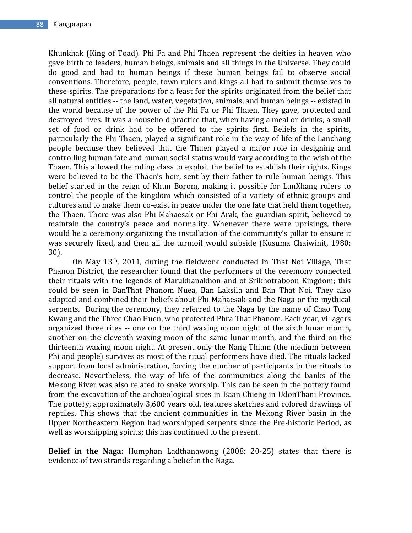Khunkhak (King of Toad)*.* Phi Fa and Phi Thaen represent the deities in heaven who gave birth to leaders, human beings, animals and all things in the Universe. They could do good and bad to human beings if these human beings fail to observe social conventions. Therefore, people, town rulers and kings all had to submit themselves to these spirits. The preparations for a feast for the spirits originated from the belief that all natural entities -- the land, water, vegetation, animals, and human beings -- existed in the world because of the power of the Phi Fa or Phi Thaen. They gave, protected and destroyed lives. It was a household practice that, when having a meal or drinks, a small set of food or drink had to be offered to the spirits first. Beliefs in the spirits, particularly the Phi Thaen, played a significant role in the way of life of the Lanchang people because they believed that the Thaen played a major role in designing and controlling human fate and human social status would vary according to the wish of the Thaen. This allowed the ruling class to exploit the belief to establish their rights. Kings were believed to be the Thaen's heir, sent by their father to rule human beings. This belief started in the reign of Khun Borom, making it possible for LanXhang rulers to control the people of the kingdom which consisted of a variety of ethnic groups and cultures and to make them co-exist in peace under the one fate that held them together, the Thaen. There was also Phi Mahaesak or Phi Arak, the guardian spirit, believed to maintain the country's peace and normality. Whenever there were uprisings, there would be a ceremony organizing the installation of the community's pillar to ensure it was securely fixed, and then all the turmoil would subside (Kusuma Chaiwinit, 1980: 30).

On May 13th, 2011, during the fieldwork conducted in That Noi Village, That Phanon District, the researcher found that the performers of the ceremony connected their rituals with the legends of Marukhanakhon and of Srikhotraboon Kingdom; this could be seen in BanThat Phanom Nuea, Ban Laksila and Ban That Noi. They also adapted and combined their beliefs about Phi Mahaesak and the Naga or the mythical serpents. During the ceremony, they referred to the Naga by the name of Chao Tong Kwang and the Three Chao Huen, who protected Phra That Phanom. Each year, villagers organized three rites -- one on the third waxing moon night of the sixth lunar month, another on the eleventh waxing moon of the same lunar month, and the third on the thirteenth waxing moon night. At present only the Nang Thiam (the medium between Phi and people) survives as most of the ritual performers have died. The rituals lacked support from local administration, forcing the number of participants in the rituals to decrease. Nevertheless, the way of life of the communities along the banks of the Mekong River was also related to snake worship. This can be seen in the pottery found from the excavation of the archaeological sites in Baan Chieng in UdonThani Province. The pottery, approximately 3,600 years old, features sketches and colored drawings of reptiles. This shows that the ancient communities in the Mekong River basin in the Upper Northeastern Region had worshipped serpents since the Pre-historic Period, as well as worshipping spirits; this has continued to the present.

**Belief in the Naga:** Humphan Ladthanawong (2008: 20-25) states that there is evidence of two strands regarding a belief in the Naga.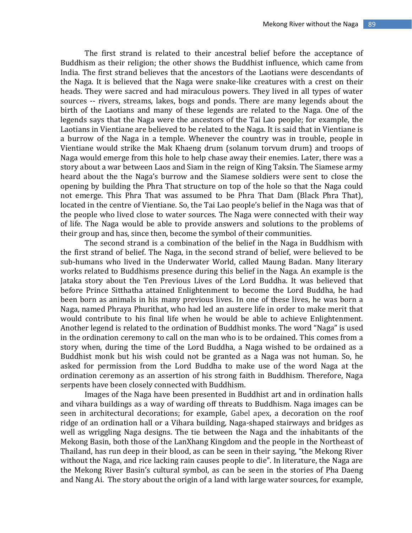The first strand is related to their ancestral belief before the acceptance of Buddhism as their religion; the other shows the Buddhist influence, which came from India. The first strand believes that the ancestors of the Laotians were descendants of the Naga. It is believed that the Naga were snake-like creatures with a crest on their heads. They were sacred and had miraculous powers. They lived in all types of water sources -- rivers, streams, lakes, bogs and ponds. There are many legends about the birth of the Laotians and many of these legends are related to the Naga. One of the legends says that the Naga were the ancestors of the Tai Lao people; for example, the Laotians in Vientiane are believed to be related to the Naga. It is said that in Vientiane is a burrow of the Naga in a temple. Whenever the country was in trouble, people in Vientiane would strike the Mak Khaeng drum (solanum torvum drum) and troops of Naga would emerge from this hole to help chase away their enemies. Later, there was a story about a war between Laos and Siam in the reign of King Taksin. The Siamese army heard about the the Naga's burrow and the Siamese soldiers were sent to close the opening by building the Phra That structure on top of the hole so that the Naga could not emerge. This Phra That was assumed to be Phra That Dam (Black Phra That), located in the centre of Vientiane. So, the Tai Lao people's belief in the Naga was that of the people who lived close to water sources. The Naga were connected with their way of life. The Naga would be able to provide answers and solutions to the problems of their group and has, since then, become the symbol of their communities.

The second strand is a combination of the belief in the Naga in Buddhism with the first strand of belief. The Naga, in the second strand of belief, were believed to be sub-humans who lived in the Underwater World, called Maung Badan. Many literary works related to Buddhisms presence during this belief in the Naga. An example is the Jataka story about the Ten Previous Lives of the Lord Buddha. It was believed that before Prince Sitthatha attained Enlightenment to become the Lord Buddha, he had been born as animals in his many previous lives. In one of these lives, he was born a Naga, named Phraya Phurithat, who had led an austere life in order to make merit that would contribute to his final life when he would be able to achieve Enlightenment. Another legend is related to the ordination of Buddhist monks. The word "Naga" is used in the ordination ceremony to call on the man who is to be ordained. This comes from a story when, during the time of the Lord Buddha, a Naga wished to be ordained as a Buddhist monk but his wish could not be granted as a Naga was not human. So, he asked for permission from the Lord Buddha to make use of the word Naga at the ordination ceremony as an assertion of his strong faith in Buddhism. Therefore, Naga serpents have been closely connected with Buddhism.

Images of the Naga have been presented in Buddhist art and in ordination halls and vihara buildings as a way of warding off threats to Buddhism. Naga images can be seen in architectural decorations; for example, Gabel apex, a decoration on the roof ridge of an ordination hall or a Vihara building, Naga-shaped stairways and bridges as well as wriggling Naga designs. The tie between the Naga and the inhabitants of the Mekong Basin, both those of the LanXhang Kingdom and the people in the Northeast of Thailand, has run deep in their blood, as can be seen in their saying, "the Mekong River without the Naga, and rice lacking rain causes people to die". In literature, the Naga are the Mekong River Basin's cultural symbol, as can be seen in the stories of Pha Daeng and Nang Ai. The story about the origin of a land with large water sources, for example,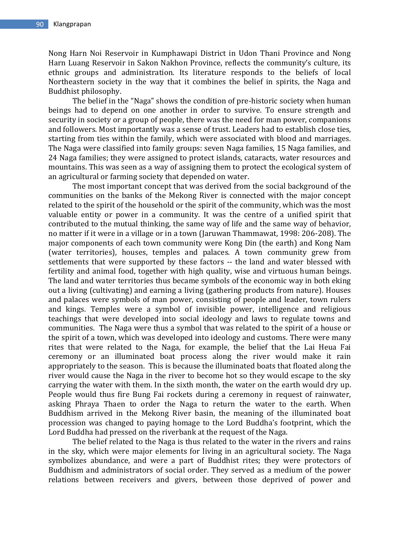Nong Harn Noi Reservoir in Kumphawapi District in Udon Thani Province and Nong Harn Luang Reservoir in Sakon Nakhon Province, reflects the community's culture, its ethnic groups and administration. Its literature responds to the beliefs of local Northeastern society in the way that it combines the belief in spirits, the Naga and Buddhist philosophy.

The belief in the "Naga" shows the condition of pre-historic society when human beings had to depend on one another in order to survive. To ensure strength and security in society or a group of people, there was the need for man power, companions and followers. Most importantly was a sense of trust. Leaders had to establish close ties, starting from ties within the family, which were associated with blood and marriages. The Naga were classified into family groups: seven Naga families, 15 Naga families, and 24 Naga families; they were assigned to protect islands, cataracts, water resources and mountains. This was seen as a way of assigning them to protect the ecological system of an agricultural or farming society that depended on water.

The most important concept that was derived from the social background of the communities on the banks of the Mekong River is connected with the major concept related to the spirit of the household or the spirit of the community, which was the most valuable entity or power in a community. It was the centre of a unified spirit that contributed to the mutual thinking, the same way of life and the same way of behavior, no matter if it were in a village or in a town (Jaruwan Thammawat, 1998: 206-208). The major components of each town community were Kong Din (the earth) and Kong Nam (water territories), houses, temples and palaces. A town community grew from settlements that were supported by these factors -- the land and water blessed with fertility and animal food, together with high quality, wise and virtuous human beings. The land and water territories thus became symbols of the economic way in both eking out a living (cultivating) and earning a living (gathering products from nature). Houses and palaces were symbols of man power, consisting of people and leader, town rulers and kings. Temples were a symbol of invisible power, intelligence and religious teachings that were developed into social ideology and laws to regulate towns and communities. The Naga were thus a symbol that was related to the spirit of a house or the spirit of a town, which was developed into ideology and customs. There were many rites that were related to the Naga, for example, the belief that the Lai Heua Fai ceremony or an illuminated boat process along the river would make it rain appropriately to the season. This is because the illuminated boats that floated along the river would cause the Naga in the river to become hot so they would escape to the sky carrying the water with them. In the sixth month, the water on the earth would dry up. People would thus fire Bung Fai rockets during a ceremony in request of rainwater, asking Phraya Thaen to order the Naga to return the water to the earth. When Buddhism arrived in the Mekong River basin, the meaning of the illuminated boat procession was changed to paying homage to the Lord Buddha's footprint, which the Lord Buddha had pressed on the riverbank at the request of the Naga.

The belief related to the Naga is thus related to the water in the rivers and rains in the sky, which were major elements for living in an agricultural society. The Naga symbolizes abundance, and were a part of Buddhist rites; they were protectors of Buddhism and administrators of social order. They served as a medium of the power relations between receivers and givers, between those deprived of power and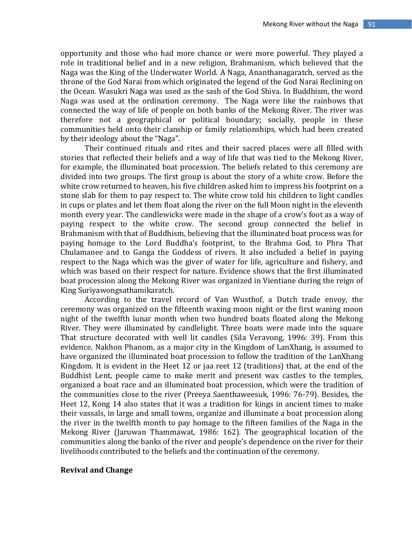opportunity and those who had more chance or were more powerful. They played a role in traditional belief and in a new religion, Brahmanism, which believed that the Naga was the King of the Underwater World. A Naga, Ananthanagaratch, served as the throne of the God Narai from which originated the legend of the God Narai Reclining on the Ocean. Wasukri Naga was used as the sash of the God Shiva. In Buddhism, the word Naga was used at the ordination ceremony. The Naga were like the rainbows that connected the way of life of people on both banks of the Mekong River. The river was therefore not a geographical or political boundary; socially, people in these communities held onto their clanship or family relationships, which had been created by their ideology about the "Naga".

Their continued rituals and rites and their sacred places were all filled with stories that reflected their beliefs and a way of life that was tied to the Mekong River, for example, the illuminated boat procession. The beliefs related to this ceremony are divided into two groups. The first group is about the story of a white crow. Before the white crow returned to heaven, his five children asked him to impress his footprint on a stone slab for them to pay respect to. The white crow told his children to light candles in cups or plates and let them float along the river on the full Moon night in the eleventh month every year. The candlewicks were made in the shape of a crow's foot as a way of paying respect to the white crow. The second group connected the belief in Brahmanism with that of Buddhism, believing that the illuminated boat process was for paying homage to the Lord Buddha's footprint, to the Brahma God, to Phra That Chulamanee and to Ganga the Goddess of rivers. It also included a belief in paying respect to the Naga which was the giver of water for life, agriculture and fishery, and which was based on their respect for nature. Evidence shows that the first illuminated boat procession along the Mekong River was organized in Vientiane during the reign of King Suriyawongsathamikaratch.

According to the travel record of Van Wusthof, a Dutch trade envoy, the ceremony was organized on the fifteenth waxing moon night or the first waning moon night of the twelfth lunar month when two hundred boats floated along the Mekong River. They were illuminated by candlelight. Three boats were made into the square That structure decorated with well lit candles (Sila Veravong, 1996: 39). From this evidence, Nakhon Phanom, as a major city in the Kingdom of LanXhang, is assumed to have organized the illuminated boat procession to follow the tradition of the LanXhang Kingdom. It is evident in the Heet 12 or jaa reet 12 (traditions) that, at the end of the Buddhist Lent, people came to make merit and present wax castles to the temples, organized a boat race and an illuminated boat procession, which were the tradition of the communities close to the river (Preeya Saenthaweesuk, 1996: 76-79). Besides, the Heet 12, Kong 14 also states that it was a tradition for kings in ancient times to make their vassals, in large and small towns, organize and illuminate a boat procession along the river in the twelfth month to pay homage to the fifteen families of the Naga in the Mekong River (Jaruwan Thammawat, 1986: 162). The geographical location of the communities along the banks of the river and people's dependence on the river for their livelihoods contributed to the beliefs and the continuation of the ceremony.

#### **Revival and Change**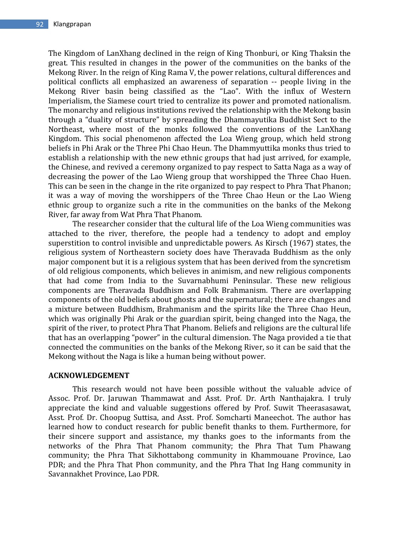The Kingdom of LanXhang declined in the reign of King Thonburi, or King Thaksin the great. This resulted in changes in the power of the communities on the banks of the Mekong River. In the reign of King Rama V, the power relations, cultural differences and political conflicts all emphasized an awareness of separation -- people living in the Mekong River basin being classified as the "Lao". With the influx of Western Imperialism, the Siamese court tried to centralize its power and promoted nationalism. The monarchy and religious institutions revived the relationship with the Mekong basin through a "duality of structure" by spreading the Dhammayutika Buddhist Sect to the Northeast, where most of the monks followed the conventions of the LanXhang Kingdom. This social phenomenon affected the Loa Wieng group, which held strong beliefs in Phi Arak or the Three Phi Chao Heun. The Dhammyuttika monks thus tried to establish a relationship with the new ethnic groups that had just arrived, for example, the Chinese, and revived a ceremony organized to pay respect to Satta Naga as a way of decreasing the power of the Lao Wieng group that worshipped the Three Chao Huen. This can be seen in the change in the rite organized to pay respect to Phra That Phanon; it was a way of moving the worshippers of the Three Chao Heun or the Lao Wieng ethnic group to organize such a rite in the communities on the banks of the Mekong River, far away from Wat Phra That Phanom.

The researcher consider that the cultural life of the Loa Wieng communities was attached to the river, therefore, the people had a tendency to adopt and employ superstition to control invisible and unpredictable powers. As Kirsch (1967) states, the religious system of Northeastern society does have Theravada Buddhism as the only major component but it is a religious system that has been derived from the syncretism of old religious components, which believes in animism, and new religious components that had come from India to the Suvarnabhumi Peninsular. These new religious components are Theravada Buddhism and Folk Brahmanism. There are overlapping components of the old beliefs about ghosts and the supernatural; there are changes and a mixture between Buddhism, Brahmanism and the spirits like the Three Chao Heun, which was originally Phi Arak or the guardian spirit, being changed into the Naga, the spirit of the river, to protect Phra That Phanom. Beliefs and religions are the cultural life that has an overlapping "power" in the cultural dimension. The Naga provided a tie that connected the communities on the banks of the Mekong River, so it can be said that the Mekong without the Naga is like a human being without power.

### **ACKNOWLEDGEMENT**

This research would not have been possible without the valuable advice of Assoc. Prof. Dr. Jaruwan Thammawat and Asst. Prof. Dr. Arth Nanthajakra. I truly appreciate the kind and valuable suggestions offered by Prof. Suwit Theerasasawat, Asst. Prof. Dr. Choopug Suttisa, and Asst. Prof. Somcharti Maneechot. The author has learned how to conduct research for public benefit thanks to them. Furthermore, for their sincere support and assistance, my thanks goes to the informants from the networks of the Phra That Phanom community; the Phra That Tum Phawang community; the Phra That Sikhottabong community in Khammouane Province, Lao PDR; and the Phra That Phon community, and the Phra That Ing Hang community in Savannakhet Province, Lao PDR.